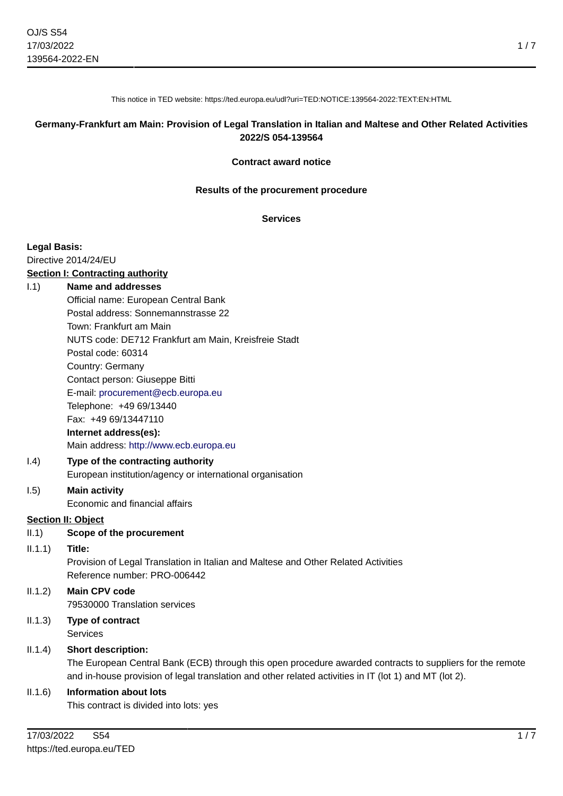This notice in TED website: https://ted.europa.eu/udl?uri=TED:NOTICE:139564-2022:TEXT:EN:HTML

## **Germany-Frankfurt am Main: Provision of Legal Translation in Italian and Maltese and Other Related Activities 2022/S 054-139564**

#### **Contract award notice**

#### **Results of the procurement procedure**

#### **Services**

#### **Legal Basis:**

Directive 2014/24/EU

#### **Section I: Contracting authority**

#### I.1) **Name and addresses**

Official name: European Central Bank Postal address: Sonnemannstrasse 22 Town: Frankfurt am Main NUTS code: DE712 Frankfurt am Main, Kreisfreie Stadt Postal code: 60314 Country: Germany Contact person: Giuseppe Bitti E-mail: [procurement@ecb.europa.eu](mailto:procurement@ecb.europa.eu) Telephone: +49 69/13440 Fax: +49 69/13447110 **Internet address(es):** Main address:<http://www.ecb.europa.eu>

#### I.4) **Type of the contracting authority** European institution/agency or international organisation

### I.5) **Main activity**

Economic and financial affairs

### **Section II: Object**

II.1) **Scope of the procurement**

#### II.1.1) **Title:**

Provision of Legal Translation in Italian and Maltese and Other Related Activities Reference number: PRO-006442

#### II.1.2) **Main CPV code** 79530000 Translation services

II.1.3) **Type of contract Services** 

### II.1.4) **Short description:**

The European Central Bank (ECB) through this open procedure awarded contracts to suppliers for the remote and in-house provision of legal translation and other related activities in IT (lot 1) and MT (lot 2).

### II.1.6) **Information about lots**

This contract is divided into lots: yes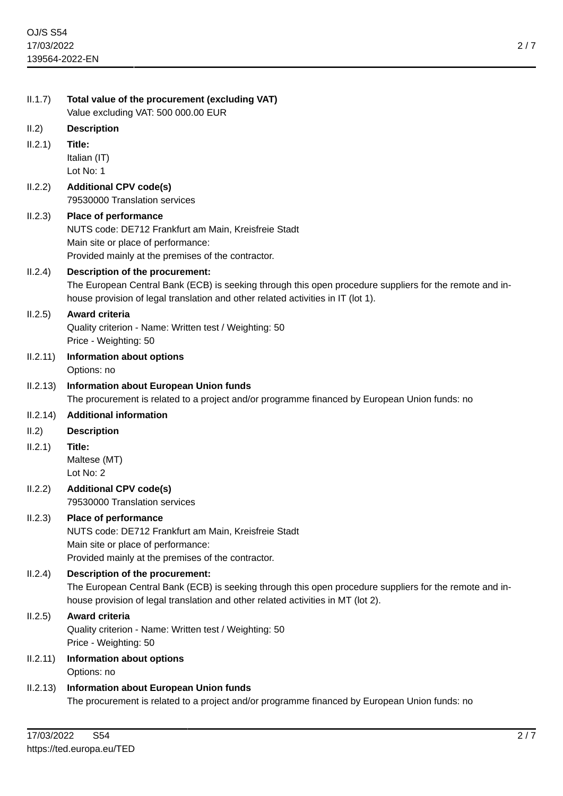| II.1.7)  | Total value of the procurement (excluding VAT)<br>Value excluding VAT: 500 000.00 EUR                                                                                                                                          |
|----------|--------------------------------------------------------------------------------------------------------------------------------------------------------------------------------------------------------------------------------|
| II.2)    | <b>Description</b>                                                                                                                                                                                                             |
| II.2.1)  | Title:                                                                                                                                                                                                                         |
|          | Italian (IT)<br>Lot No: 1                                                                                                                                                                                                      |
| II.2.2)  | <b>Additional CPV code(s)</b><br>79530000 Translation services                                                                                                                                                                 |
| II.2.3)  | <b>Place of performance</b><br>NUTS code: DE712 Frankfurt am Main, Kreisfreie Stadt<br>Main site or place of performance:<br>Provided mainly at the premises of the contractor.                                                |
| II.2.4)  | Description of the procurement:<br>The European Central Bank (ECB) is seeking through this open procedure suppliers for the remote and in-<br>house provision of legal translation and other related activities in IT (lot 1). |
| II.2.5)  | <b>Award criteria</b><br>Quality criterion - Name: Written test / Weighting: 50<br>Price - Weighting: 50                                                                                                                       |
| II.2.11) | <b>Information about options</b><br>Options: no                                                                                                                                                                                |
| II.2.13) | <b>Information about European Union funds</b><br>The procurement is related to a project and/or programme financed by European Union funds: no                                                                                 |
|          |                                                                                                                                                                                                                                |
| II.2.14) | <b>Additional information</b>                                                                                                                                                                                                  |
| II.2)    | <b>Description</b>                                                                                                                                                                                                             |
| II.2.1)  | Title:<br>Maltese (MT)<br>Lot No: 2                                                                                                                                                                                            |
| II.2.2)  | <b>Additional CPV code(s)</b><br>79530000 Translation services                                                                                                                                                                 |
| II.2.3)  | <b>Place of performance</b><br>NUTS code: DE712 Frankfurt am Main, Kreisfreie Stadt<br>Main site or place of performance:<br>Provided mainly at the premises of the contractor.                                                |
| II.2.4)  | Description of the procurement:<br>The European Central Bank (ECB) is seeking through this open procedure suppliers for the remote and in-<br>house provision of legal translation and other related activities in MT (lot 2). |
| II.2.5)  | <b>Award criteria</b><br>Quality criterion - Name: Written test / Weighting: 50<br>Price - Weighting: 50                                                                                                                       |
| II.2.11) | Information about options<br>Options: no                                                                                                                                                                                       |
| II.2.13) | <b>Information about European Union funds</b><br>The procurement is related to a project and/or programme financed by European Union funds: no                                                                                 |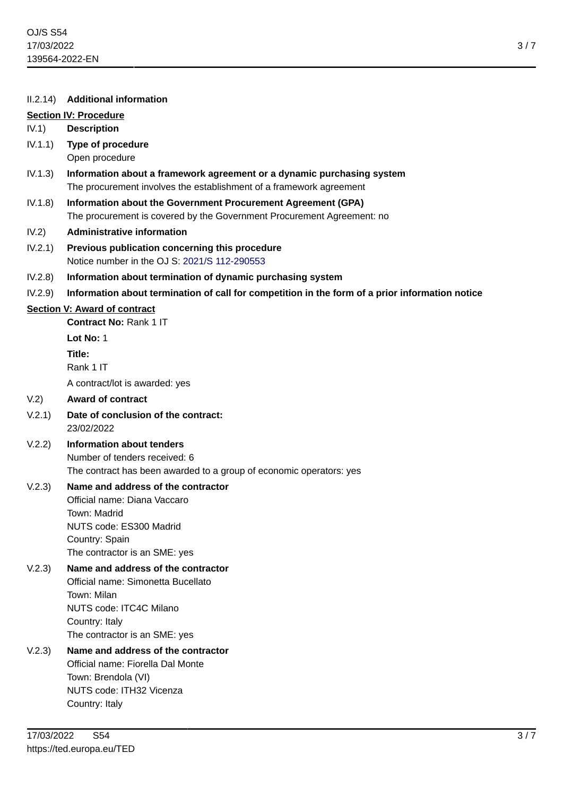### II.2.14) **Additional information**

## **Section IV: Procedure**

## IV.1) **Description**

- IV.1.1) **Type of procedure** Open procedure
- IV.1.3) **Information about a framework agreement or a dynamic purchasing system** The procurement involves the establishment of a framework agreement
- IV.1.8) **Information about the Government Procurement Agreement (GPA)** The procurement is covered by the Government Procurement Agreement: no
- IV.2) **Administrative information**
- IV.2.1) **Previous publication concerning this procedure** Notice number in the OJ S: [2021/S 112-290553](https://ted.europa.eu/udl?uri=TED:NOTICE:290553-2021:TEXT:EN:HTML)
- IV.2.8) **Information about termination of dynamic purchasing system**
- IV.2.9) **Information about termination of call for competition in the form of a prior information notice**

### **Section V: Award of contract**

**Contract No:** Rank 1 IT

**Lot No:** 1 **Title:** Rank 1 IT

A contract/lot is awarded: yes

### V.2) **Award of contract**

- V.2.1) **Date of conclusion of the contract:** 23/02/2022
- V.2.2) **Information about tenders** Number of tenders received: 6 The contract has been awarded to a group of economic operators: yes

### V.2.3) **Name and address of the contractor**

Official name: Diana Vaccaro Town: Madrid NUTS code: ES300 Madrid Country: Spain The contractor is an SME: yes

### V.2.3) **Name and address of the contractor**

Official name: Simonetta Bucellato Town: Milan NUTS code: ITC4C Milano Country: Italy The contractor is an SME: yes

# V.2.3) **Name and address of the contractor** Official name: Fiorella Dal Monte Town: Brendola (VI) NUTS code: ITH32 Vicenza Country: Italy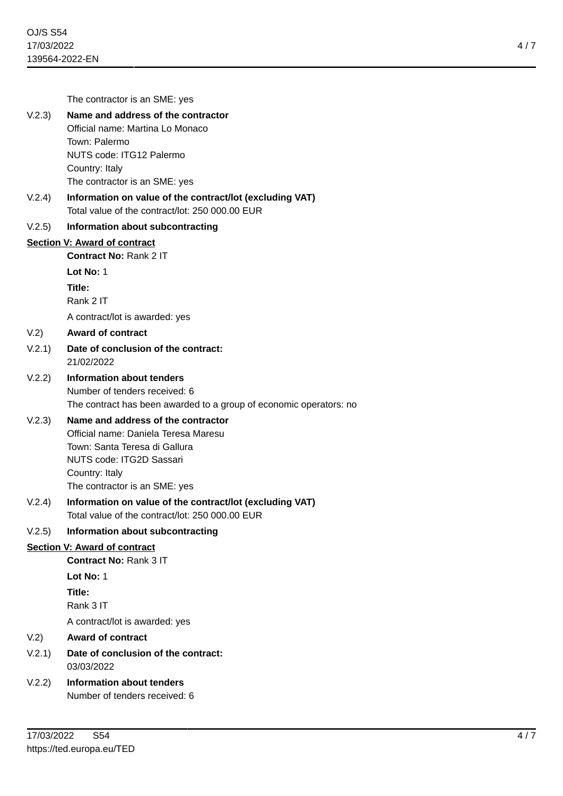|                                     | The contractor is an SME: yes                                                                               |
|-------------------------------------|-------------------------------------------------------------------------------------------------------------|
| V.2.3)                              | Name and address of the contractor                                                                          |
|                                     | Official name: Martina Lo Monaco                                                                            |
|                                     | Town: Palermo                                                                                               |
|                                     | <b>NUTS code: ITG12 Palermo</b><br>Country: Italy                                                           |
|                                     | The contractor is an SME: yes                                                                               |
| V.2.4)                              | Information on value of the contract/lot (excluding VAT)<br>Total value of the contract/lot: 250 000.00 EUR |
| V.2.5)                              | Information about subcontracting                                                                            |
|                                     | Section V: Award of contract                                                                                |
|                                     | <b>Contract No: Rank 2 IT</b>                                                                               |
|                                     | Lot $No: 1$                                                                                                 |
|                                     | Title:                                                                                                      |
|                                     | Rank 2 IT                                                                                                   |
|                                     | A contract/lot is awarded: yes                                                                              |
| V.2)                                | <b>Award of contract</b>                                                                                    |
| V.2.1)                              | Date of conclusion of the contract:<br>21/02/2022                                                           |
| V.2.2)                              | Information about tenders                                                                                   |
|                                     | Number of tenders received: 6                                                                               |
| V.2.3)                              | The contract has been awarded to a group of economic operators: no<br>Name and address of the contractor    |
|                                     | Official name: Daniela Teresa Maresu                                                                        |
|                                     | Town: Santa Teresa di Gallura                                                                               |
|                                     | <b>NUTS code: ITG2D Sassari</b>                                                                             |
|                                     | Country: Italy                                                                                              |
|                                     | The contractor is an SME: yes                                                                               |
| V.2.4)                              | Information on value of the contract/lot (excluding VAT)<br>Total value of the contract/lot: 250 000.00 EUR |
| V.2.5)                              | Information about subcontracting                                                                            |
| <b>Section V: Award of contract</b> |                                                                                                             |
|                                     | <b>Contract No: Rank 3 IT</b>                                                                               |
|                                     | Lot No: 1                                                                                                   |
|                                     | Title:<br>Rank 3 IT                                                                                         |
|                                     | A contract/lot is awarded: yes                                                                              |
| V.2)                                | <b>Award of contract</b>                                                                                    |
| V.2.1)                              | Date of conclusion of the contract:                                                                         |
|                                     | 03/03/2022                                                                                                  |
| V.2.2)                              | <b>Information about tenders</b>                                                                            |
|                                     | Number of tenders received: 6                                                                               |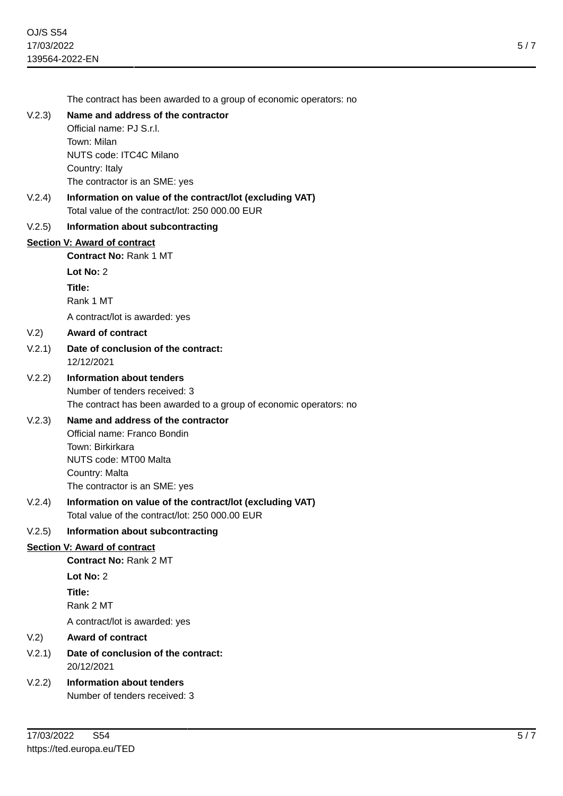The contract has been awarded to a group of economic operators: no

## V.2.3) **Name and address of the contractor**

Official name: PJ S.r.l. Town: Milan NUTS code: ITC4C Milano Country: Italy The contractor is an SME: yes

V.2.4) **Information on value of the contract/lot (excluding VAT)** Total value of the contract/lot: 250 000.00 EUR

#### V.2.5) **Information about subcontracting**

#### **Section V: Award of contract**

**Contract No:** Rank 1 MT

**Lot No:** 2

**Title:**

Rank 1 MT

A contract/lot is awarded: yes

#### V.2) **Award of contract**

#### V.2.1) **Date of conclusion of the contract:** 12/12/2021

## V.2.2) **Information about tenders** Number of tenders received: 3 The contract has been awarded to a group of economic operators: no

# V.2.3) **Name and address of the contractor**

Official name: Franco Bondin Town: Birkirkara NUTS code: MT00 Malta Country: Malta The contractor is an SME: yes

## V.2.4) **Information on value of the contract/lot (excluding VAT)** Total value of the contract/lot: 250 000.00 EUR

#### V.2.5) **Information about subcontracting**

#### **Section V: Award of contract**

**Contract No:** Rank 2 MT

```
Lot No: 2
```
**Title:**

Rank 2 MT

A contract/lot is awarded: yes

#### V.2) **Award of contract**

- V.2.1) **Date of conclusion of the contract:** 20/12/2021
- V.2.2) **Information about tenders** Number of tenders received: 3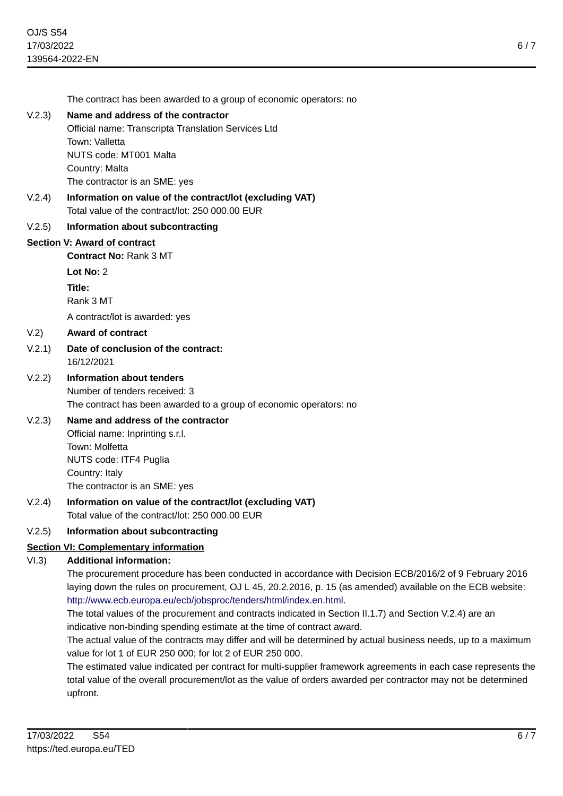The contract has been awarded to a group of economic operators: no

## V.2.3) **Name and address of the contractor**

Official name: Transcripta Translation Services Ltd Town: Valletta

NUTS code: MT001 Malta Country: Malta

The contractor is an SME: yes

V.2.4) **Information on value of the contract/lot (excluding VAT)** Total value of the contract/lot: 250 000.00 EUR

#### V.2.5) **Information about subcontracting**

#### **Section V: Award of contract**

**Contract No:** Rank 3 MT

**Lot No:** 2

**Title:**

Rank 3 MT

A contract/lot is awarded: yes

#### V.2) **Award of contract**

## V.2.1) **Date of conclusion of the contract:** 16/12/2021

# V.2.2) **Information about tenders** Number of tenders received: 3 The contract has been awarded to a group of economic operators: no

# V.2.3) **Name and address of the contractor**

Official name: Inprinting s.r.l. Town: Molfetta NUTS code: ITF4 Puglia Country: Italy The contractor is an SME: yes

V.2.4) **Information on value of the contract/lot (excluding VAT)** Total value of the contract/lot: 250 000.00 EUR

### V.2.5) **Information about subcontracting**

# **Section VI: Complementary information**

### VI.3) **Additional information:**

The procurement procedure has been conducted in accordance with Decision ECB/2016/2 of 9 February 2016 laying down the rules on procurement, OJ L 45, 20.2.2016, p. 15 (as amended) available on the ECB website: <http://www.ecb.europa.eu/ecb/jobsproc/tenders/html/index.en.html>.

The total values of the procurement and contracts indicated in Section II.1.7) and Section V.2.4) are an indicative non-binding spending estimate at the time of contract award.

The actual value of the contracts may differ and will be determined by actual business needs, up to a maximum value for lot 1 of EUR 250 000; for lot 2 of EUR 250 000.

The estimated value indicated per contract for multi-supplier framework agreements in each case represents the total value of the overall procurement/lot as the value of orders awarded per contractor may not be determined upfront.